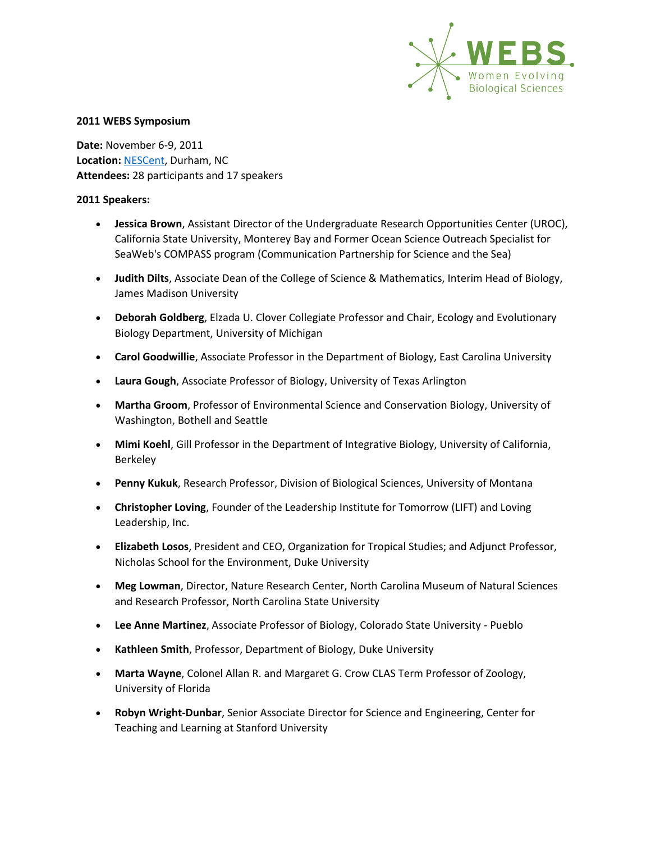

**Date:** November 6-9, 2011 **Location:** [NESCent,](http://www.nescent.org/) Durham, NC **Attendees:** 28 participants and 17 speakers

- **Jessica Brown**, Assistant Director of the Undergraduate Research Opportunities Center (UROC), California State University, Monterey Bay and Former Ocean Science Outreach Specialist for SeaWeb's COMPASS program (Communication Partnership for Science and the Sea)
- **Judith Dilts**, Associate Dean of the College of Science & Mathematics, Interim Head of Biology, James Madison University
- **Deborah Goldberg**, Elzada U. Clover Collegiate Professor and Chair, Ecology and Evolutionary Biology Department, University of Michigan
- **Carol Goodwillie**, Associate Professor in the Department of Biology, East Carolina University
- **Laura Gough**, Associate Professor of Biology, University of Texas Arlington
- **Martha Groom**, Professor of Environmental Science and Conservation Biology, University of Washington, Bothell and Seattle
- **Mimi Koehl**, Gill Professor in the Department of Integrative Biology, University of California, Berkeley
- **Penny Kukuk**, Research Professor, Division of Biological Sciences, University of Montana
- **Christopher Loving**, Founder of the Leadership Institute for Tomorrow (LIFT) and Loving Leadership, Inc.
- **Elizabeth Losos**, President and CEO, Organization for Tropical Studies; and Adjunct Professor, Nicholas School for the Environment, Duke University
- **Meg Lowman**, Director, Nature Research Center, North Carolina Museum of Natural Sciences and Research Professor, North Carolina State University
- **Lee Anne Martinez**, Associate Professor of Biology, Colorado State University Pueblo
- **Kathleen Smith**, Professor, Department of Biology, Duke University
- **Marta Wayne**, Colonel Allan R. and Margaret G. Crow CLAS Term Professor of Zoology, University of Florida
- **Robyn Wright-Dunbar**, Senior Associate Director for Science and Engineering, Center for Teaching and Learning at Stanford University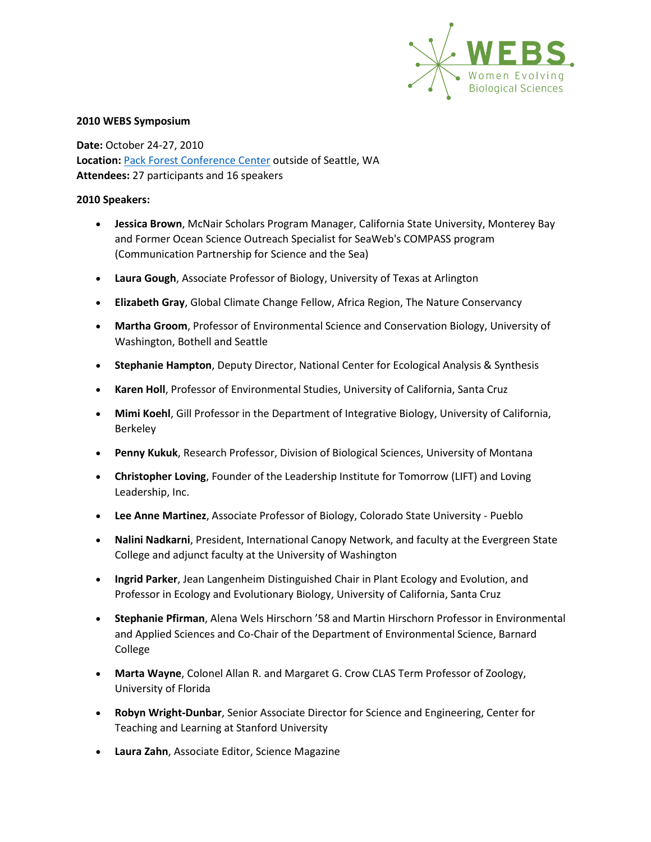

**Date:** October 24-27, 2010 **Location:** [Pack Forest Conference Center](http://www.packforest.org/) outside of Seattle, WA **Attendees:** 27 participants and 16 speakers

- **Jessica Brown**, McNair Scholars Program Manager, California State University, Monterey Bay and Former Ocean Science Outreach Specialist for SeaWeb's COMPASS program (Communication Partnership for Science and the Sea)
- **Laura Gough**, Associate Professor of Biology, University of Texas at Arlington
- **Elizabeth Gray**, Global Climate Change Fellow, Africa Region, The Nature Conservancy
- **Martha Groom**, Professor of Environmental Science and Conservation Biology, University of Washington, Bothell and Seattle
- **Stephanie Hampton**, Deputy Director, National Center for Ecological Analysis & Synthesis
- **Karen Holl**, Professor of Environmental Studies, University of California, Santa Cruz
- **Mimi Koehl**, Gill Professor in the Department of Integrative Biology, University of California, Berkeley
- **Penny Kukuk**, Research Professor, Division of Biological Sciences, University of Montana
- **Christopher Loving**, Founder of the Leadership Institute for Tomorrow (LIFT) and Loving Leadership, Inc.
- **Lee Anne Martinez**, Associate Professor of Biology, Colorado State University Pueblo
- **Nalini Nadkarni**, President, International Canopy Network, and faculty at the Evergreen State College and adjunct faculty at the University of Washington
- **Ingrid Parker**, Jean Langenheim Distinguished Chair in Plant Ecology and Evolution, and Professor in Ecology and Evolutionary Biology, University of California, Santa Cruz
- **Stephanie Pfirman**, Alena Wels Hirschorn '58 and Martin Hirschorn Professor in Environmental and Applied Sciences and Co-Chair of the Department of Environmental Science, Barnard College
- **Marta Wayne**, Colonel Allan R. and Margaret G. Crow CLAS Term Professor of Zoology, University of Florida
- **Robyn Wright-Dunbar**, Senior Associate Director for Science and Engineering, Center for Teaching and Learning at Stanford University
- **Laura Zahn**, Associate Editor, Science Magazine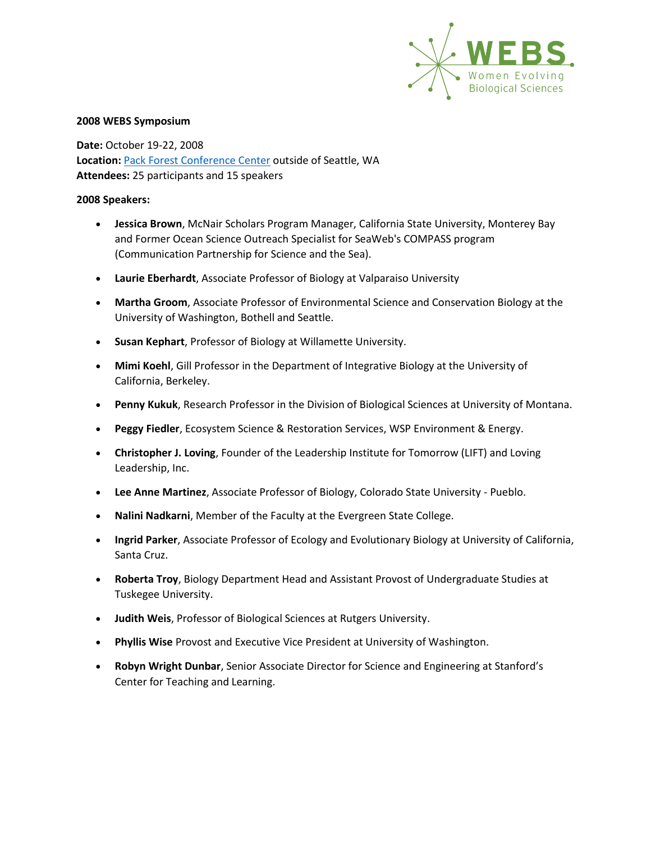

**Date:** October 19-22, 2008 **Location:** [Pack Forest Conference Center](http://www.packforest.org/) outside of Seattle, WA **Attendees:** 25 participants and 15 speakers

- **Jessica Brown**, McNair Scholars Program Manager, California State University, Monterey Bay and Former Ocean Science Outreach Specialist for SeaWeb's COMPASS program (Communication Partnership for Science and the Sea).
- **Laurie Eberhardt**, Associate Professor of Biology at Valparaiso University
- **Martha Groom**, Associate Professor of Environmental Science and Conservation Biology at the University of Washington, Bothell and Seattle.
- **Susan Kephart**, Professor of Biology at Willamette University.
- **Mimi Koehl**, Gill Professor in the Department of Integrative Biology at the University of California, Berkeley.
- **Penny Kukuk**, Research Professor in the Division of Biological Sciences at University of Montana.
- **Peggy Fiedler**, Ecosystem Science & Restoration Services, WSP Environment & Energy.
- **Christopher J. Loving**, Founder of the Leadership Institute for Tomorrow (LIFT) and Loving Leadership, Inc.
- **Lee Anne Martinez**, Associate Professor of Biology, Colorado State University Pueblo.
- **Nalini Nadkarni**, Member of the Faculty at the Evergreen State College.
- **Ingrid Parker**, Associate Professor of Ecology and Evolutionary Biology at University of California, Santa Cruz.
- **Roberta Troy**, Biology Department Head and Assistant Provost of Undergraduate Studies at Tuskegee University.
- **Judith Weis**, Professor of Biological Sciences at Rutgers University.
- **Phyllis Wise** Provost and Executive Vice President at University of Washington.
- **Robyn Wright Dunbar**, Senior Associate Director for Science and Engineering at Stanford's Center for Teaching and Learning.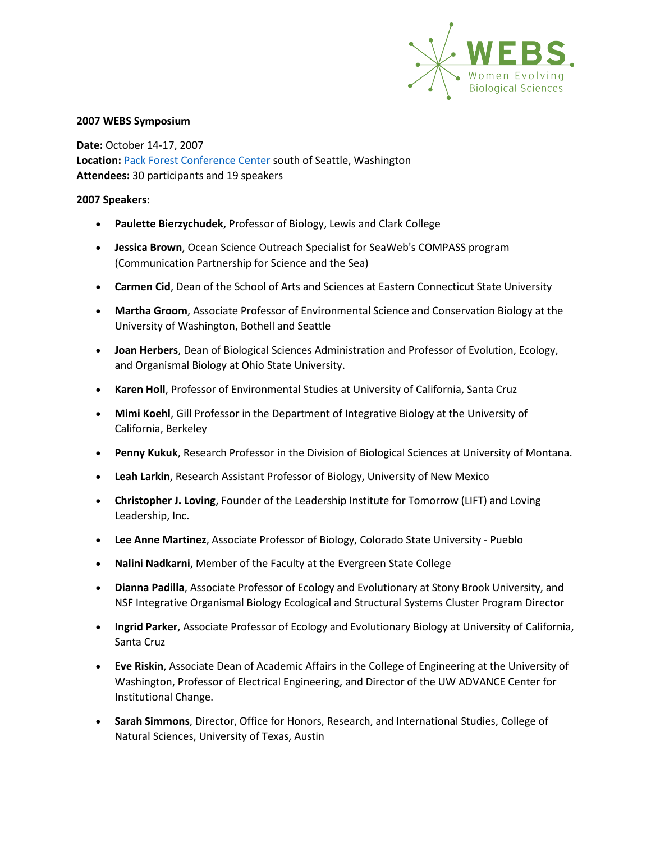

**Date:** October 14-17, 2007 **Location:** [Pack Forest Conference Center](http://www.packforest.org/) south of Seattle, Washington **Attendees:** 30 participants and 19 speakers

- **Paulette Bierzychudek**, Professor of Biology, Lewis and Clark College
- **Jessica Brown**, Ocean Science Outreach Specialist for SeaWeb's COMPASS program (Communication Partnership for Science and the Sea)
- **Carmen Cid**, Dean of the School of Arts and Sciences at Eastern Connecticut State University
- **Martha Groom**, Associate Professor of Environmental Science and Conservation Biology at the University of Washington, Bothell and Seattle
- **Joan Herbers**, Dean of Biological Sciences Administration and Professor of Evolution, Ecology, and Organismal Biology at Ohio State University.
- **Karen Holl**, Professor of Environmental Studies at University of California, Santa Cruz
- **Mimi Koehl**, Gill Professor in the Department of Integrative Biology at the University of California, Berkeley
- **Penny Kukuk**, Research Professor in the Division of Biological Sciences at University of Montana.
- **Leah Larkin**, Research Assistant Professor of Biology, University of New Mexico
- **Christopher J. Loving**, Founder of the Leadership Institute for Tomorrow (LIFT) and Loving Leadership, Inc.
- **Lee Anne Martinez**, Associate Professor of Biology, Colorado State University Pueblo
- **Nalini Nadkarni**, Member of the Faculty at the Evergreen State College
- **Dianna Padilla**, Associate Professor of Ecology and Evolutionary at Stony Brook University, and NSF Integrative Organismal Biology Ecological and Structural Systems Cluster Program Director
- **Ingrid Parker**, Associate Professor of Ecology and Evolutionary Biology at University of California, Santa Cruz
- **Eve Riskin**, Associate Dean of Academic Affairs in the College of Engineering at the University of Washington, Professor of Electrical Engineering, and Director of the UW ADVANCE Center for Institutional Change.
- **Sarah Simmons**, Director, Office for Honors, Research, and International Studies, College of Natural Sciences, University of Texas, Austin